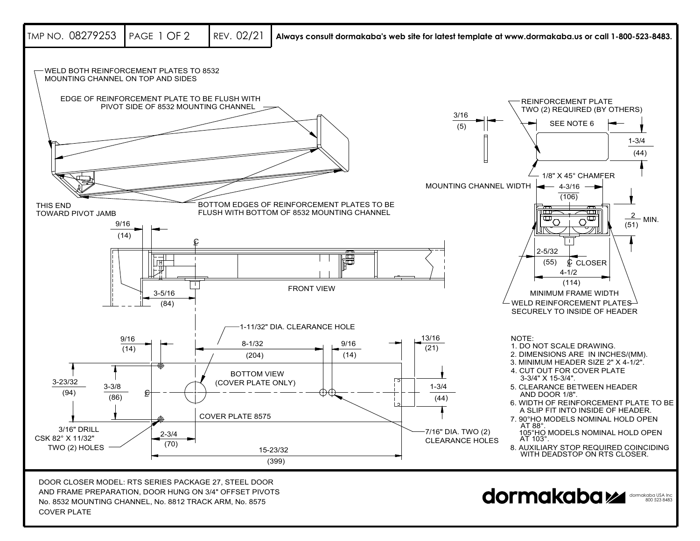